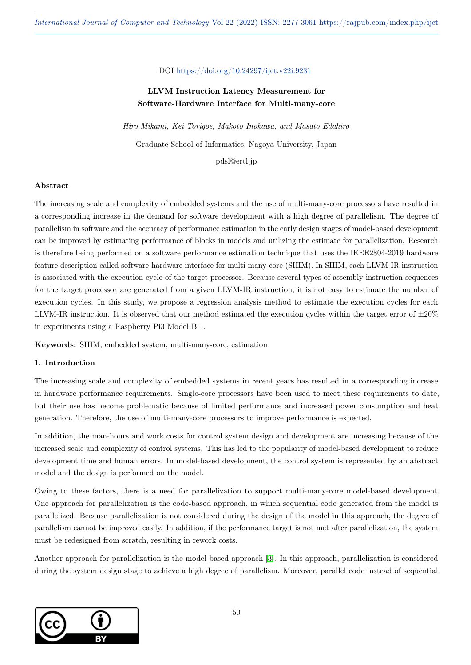## DOI https://doi.org/10.24297/ijct.v22i.9231

# LLVM Instruction Latency Measurement for Software-Hardware Interface for Multi-many-core

Hiro Mikami, Kei Torigoe, Makoto Inokawa, and Masato Edahiro Graduate School of Informatics, Nagoya University, Japan

pdsl@ertl.jp

## Abstract

The increasing scale and complexity of embedded systems and the use of multi-many-core processors have resulted in a corresponding increase in the demand for software development with a high degree of parallelism. The degree of parallelism in software and the accuracy of performance estimation in the early design stages of model-based development can be improved by estimating performance of blocks in models and utilizing the estimate for parallelization. Research is therefore being performed on a software performance estimation technique that uses the IEEE2804-2019 hardware feature description called software-hardware interface for multi-many-core (SHIM). In SHIM, each LLVM-IR instruction is associated with the execution cycle of the target processor. Because several types of assembly instruction sequences for the target processor are generated from a given LLVM-IR instruction, it is not easy to estimate the number of execution cycles. In this study, we propose a regression analysis method to estimate the execution cycles for each LLVM-IR instruction. It is observed that our method estimated the execution cycles within the target error of  $\pm 20\%$ in experiments using a Raspberry Pi3 Model B+.

Keywords: SHIM, embedded system, multi-many-core, estimation

## 1. Introduction

The increasing scale and complexity of embedded systems in recent years has resulted in a corresponding increase in hardware performance requirements. Single-core processors have been used to meet these requirements to date, but their use has become problematic because of limited performance and increased power consumption and heat generation. Therefore, the use of multi-many-core processors to improve performance is expected.

In addition, the man-hours and work costs for control system design and development are increasing because of the increased scale and complexity of control systems. This has led to the popularity of model-based development to reduce development time and human errors. In model-based development, the control system is represented by an abstract model and the design is performed on the model.

Owing to these factors, there is a need for parallelization to support multi-many-core model-based development. One approach for parallelization is the code-based approach, in which sequential code generated from the model is parallelized. Because parallelization is not considered during the design of the model in this approach, the degree of parallelism cannot be improved easily. In addition, if the performance target is not met after parallelization, the system must be redesigned from scratch, resulting in rework costs.

Another approach for parallelization is the model-based approach [\[3\]](#page-11-0). In this approach, parallelization is considered during the system design stage to achieve a high degree of parallelism. Moreover, parallel code instead of sequential

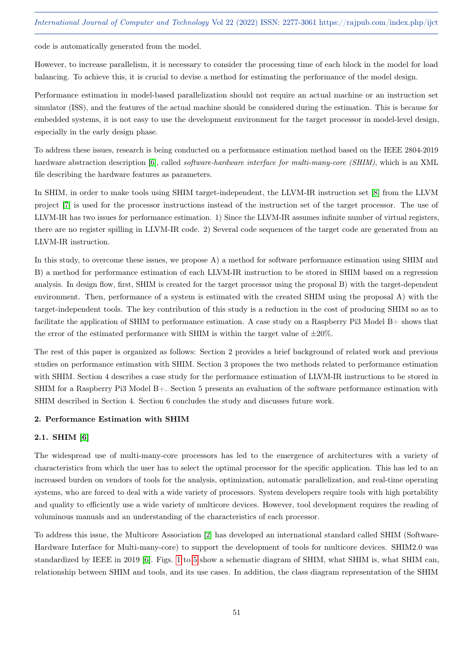code is automatically generated from the model.

However, to increase parallelism, it is necessary to consider the processing time of each block in the model for load balancing. To achieve this, it is crucial to devise a method for estimating the performance of the model design.

Performance estimation in model-based parallelization should not require an actual machine or an instruction set simulator (ISS), and the features of the actual machine should be considered during the estimation. This is because for embedded systems, it is not easy to use the development environment for the target processor in model-level design, especially in the early design phase.

To address these issues, research is being conducted on a performance estimation method based on the IEEE 2804-2019 hardware abstraction description [\[6\]](#page-11-1), called *software-hardware interface for multi-many-core (SHIM)*, which is an XML file describing the hardware features as parameters.

In SHIM, in order to make tools using SHIM target-independent, the LLVM-IR instruction set [\[8\]](#page-11-2) from the LLVM project [\[7\]](#page-11-3) is used for the processor instructions instead of the instruction set of the target processor. The use of LLVM-IR has two issues for performance estimation. 1) Since the LLVM-IR assumes infinite number of virtual registers, there are no register spilling in LLVM-IR code. 2) Several code sequences of the target code are generated from an LLVM-IR instruction.

In this study, to overcome these issues, we propose A) a method for software performance estimation using SHIM and B) a method for performance estimation of each LLVM-IR instruction to be stored in SHIM based on a regression analysis. In design flow, first, SHIM is created for the target processor using the proposal B) with the target-dependent environment. Then, performance of a system is estimated with the created SHIM using the proposal A) with the target-independent tools. The key contribution of this study is a reduction in the cost of producing SHIM so as to facilitate the application of SHIM to performance estimation. A case study on a Raspberry Pi3 Model B+ shows that the error of the estimated performance with SHIM is within the target value of  $\pm 20\%$ .

The rest of this paper is organized as follows: Section 2 provides a brief background of related work and previous studies on performance estimation with SHIM. Section 3 proposes the two methods related to performance estimation with SHIM. Section 4 describes a case study for the performance estimation of LLVM-IR instructions to be stored in SHIM for a Raspberry Pi3 Model B+. Section 5 presents an evaluation of the software performance estimation with SHIM described in Section 4. Section 6 concludes the study and discusses future work.

## 2. Performance Estimation with SHIM

# 2.1. SHIM [\[6\]](#page-11-1)

The widespread use of multi-many-core processors has led to the emergence of architectures with a variety of characteristics from which the user has to select the optimal processor for the specific application. This has led to an increased burden on vendors of tools for the analysis, optimization, automatic parallelization, and real-time operating systems, who are forced to deal with a wide variety of processors. System developers require tools with high portability and quality to efficiently use a wide variety of multicore devices. However, tool development requires the reading of voluminous manuals and an understanding of the characteristics of each processor.

To address this issue, the Multicore Association [\[2\]](#page-11-4) has developed an international standard called SHIM (Software-Hardware Interface for Multi-many-core) to support the development of tools for multicore devices. SHIM2.0 was standardized by IEEE in 2019 [\[6\]](#page-11-1). Figs. [1](#page-2-0) to [5](#page-4-0) show a schematic diagram of SHIM, what SHIM is, what SHIM can, relationship between SHIM and tools, and its use cases. In addition, the class diagram representation of the SHIM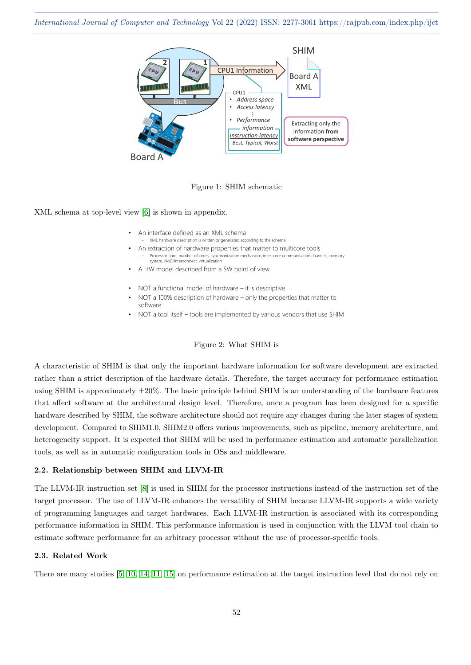

<span id="page-2-0"></span>

XML schema at top-level view [\[6\]](#page-11-1) is shown in appendix.

- An interface defined as an XML schema
- XML hardware description is written or generated according to the schema • An extraction of hardware properties that matter to multicore tools Processor core, number of cores, synchronization mechanism, inter-core communication channels, memory
- system, NoC/interconnect, virtualization
- A HW model described from a SW point of view
- NOT a functional model of hardware it is descriptive
- NOT a 100% description of hardware only the properties that matter to software
- NOT a tool itself tools are implemented by various vendors that use SHIM

## Figure 2: What SHIM is

A characteristic of SHIM is that only the important hardware information for software development are extracted rather than a strict description of the hardware details. Therefore, the target accuracy for performance estimation using SHIM is approximately ±20%. The basic principle behind SHIM is an understanding of the hardware features that affect software at the architectural design level. Therefore, once a program has been designed for a specific hardware described by SHIM, the software architecture should not require any changes during the later stages of system development. Compared to SHIM1.0, SHIM2.0 offers various improvements, such as pipeline, memory architecture, and heterogeneity support. It is expected that SHIM will be used in performance estimation and automatic parallelization tools, as well as in automatic configuration tools in OSs and middleware.

# 2.2. Relationship between SHIM and LLVM-IR

The LLVM-IR instruction set [\[8\]](#page-11-2) is used in SHIM for the processor instructions instead of the instruction set of the target processor. The use of LLVM-IR enhances the versatility of SHIM because LLVM-IR supports a wide variety of programming languages and target hardwares. Each LLVM-IR instruction is associated with its corresponding performance information in SHIM. This performance information is used in conjunction with the LLVM tool chain to estimate software performance for an arbitrary processor without the use of processor-specific tools.

## 2.3. Related Work

There are many studies [\[5,](#page-11-5) [10,](#page-11-6) [14,](#page-12-0) [11,](#page-12-1) [15\]](#page-12-2) on performance estimation at the target instruction level that do not rely on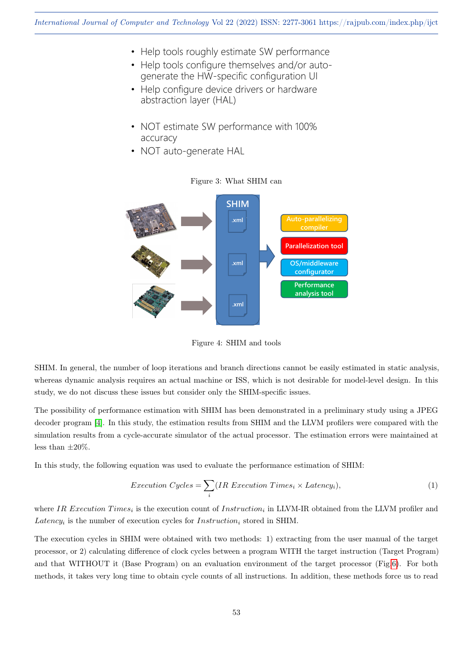- Help tools roughly estimate SW performance
- Help tools configure themselves and/or autogenerate the HW-specific configuration UI
- Help configure device drivers or hardware abstraction layer (HAL)
- NOT estimate SW performance with 100% accuracy
- NOT auto-generate HAL



# Figure 3: What SHIM can

Figure 4: SHIM and tools

SHIM. In general, the number of loop iterations and branch directions cannot be easily estimated in static analysis, whereas dynamic analysis requires an actual machine or ISS, which is not desirable for model-level design. In this study, we do not discuss these issues but consider only the SHIM-specific issues.

The possibility of performance estimation with SHIM has been demonstrated in a preliminary study using a JPEG decoder program [\[4\]](#page-11-7). In this study, the estimation results from SHIM and the LLVM profilers were compared with the simulation results from a cycle-accurate simulator of the actual processor. The estimation errors were maintained at less than  $\pm 20\%$ .

In this study, the following equation was used to evaluate the performance estimation of SHIM:

<span id="page-3-0"></span>
$$
Execution\ Cycles = \sum_{i} (IR\ Execution\ Times_{i} \times Latency_{i}), \tag{1}
$$

where IR Execution Times<sub>i</sub> is the execution count of Instruction<sub>i</sub> in LLVM-IR obtained from the LLVM profiler and Latency<sub>i</sub> is the number of execution cycles for  $Instruction_i$  stored in SHIM.

The execution cycles in SHIM were obtained with two methods: 1) extracting from the user manual of the target processor, or 2) calculating difference of clock cycles between a program WITH the target instruction (Target Program) and that WITHOUT it (Base Program) on an evaluation environment of the target processor (Fig[.6\)](#page-4-1). For both methods, it takes very long time to obtain cycle counts of all instructions. In addition, these methods force us to read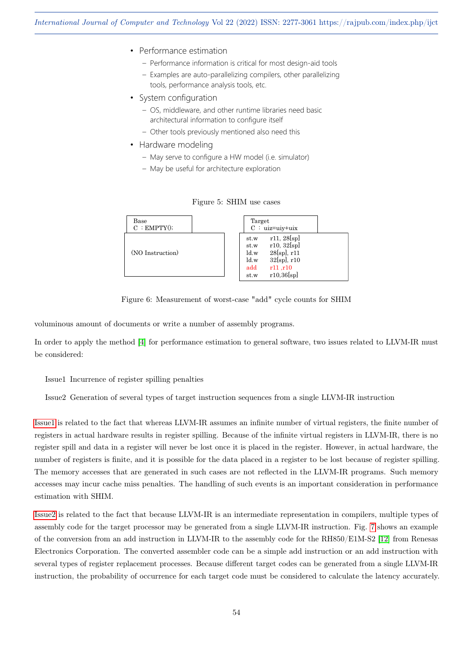- Performance estimation
	- Performance information is critical for most design-aid tools
	- Examples are auto-parallelizing compilers, other parallelizing tools, performance analysis tools, etc.
- System configuration
	- OS, middleware, and other runtime libraries need basic architectural information to configure itself
	- Other tools previously mentioned also need this
- Hardware modeling
	- May serve to configure a HW model (i.e. simulator)
	- May be useful for architecture exploration

| Base               | Target                                                                                                                                      |
|--------------------|---------------------------------------------------------------------------------------------------------------------------------------------|
| $C$ : EMPTY $()$ ; | $C : uiz = uiv + uix$                                                                                                                       |
| (NO Instruction)   | r11, 28[sp]<br>st.w<br>r10, 32[sp]<br>st.w<br>28[sp], r11<br>ld.w<br>$32[\text{spl}, r10]$<br>ld.w<br>add<br>r11, r10<br>r10,36[sp]<br>st.w |

<span id="page-4-0"></span>Figure 5: SHIM use cases

<span id="page-4-1"></span>Figure 6: Measurement of worst-case "add" cycle counts for SHIM

voluminous amount of documents or write a number of assembly programs.

In order to apply the method [\[4\]](#page-11-7) for performance estimation to general software, two issues related to LLVM-IR must be considered:

## <span id="page-4-2"></span>Issue1 Incurrence of register spilling penalties

<span id="page-4-3"></span>Issue2 Generation of several types of target instruction sequences from a single LLVM-IR instruction

[Issue1](#page-4-2) is related to the fact that whereas LLVM-IR assumes an infinite number of virtual registers, the finite number of registers in actual hardware results in register spilling. Because of the infinite virtual registers in LLVM-IR, there is no register spill and data in a register will never be lost once it is placed in the register. However, in actual hardware, the number of registers is finite, and it is possible for the data placed in a register to be lost because of register spilling. The memory accesses that are generated in such cases are not reflected in the LLVM-IR programs. Such memory accesses may incur cache miss penalties. The handling of such events is an important consideration in performance estimation with SHIM.

[Issue2](#page-4-3) is related to the fact that because LLVM-IR is an intermediate representation in compilers, multiple types of assembly code for the target processor may be generated from a single LLVM-IR instruction. Fig. [7](#page-5-0) shows an example of the conversion from an add instruction in LLVM-IR to the assembly code for the RH850/E1M-S2 [\[12\]](#page-12-3) from Renesas Electronics Corporation. The converted assembler code can be a simple add instruction or an add instruction with several types of register replacement processes. Because different target codes can be generated from a single LLVM-IR instruction, the probability of occurrence for each target code must be considered to calculate the latency accurately.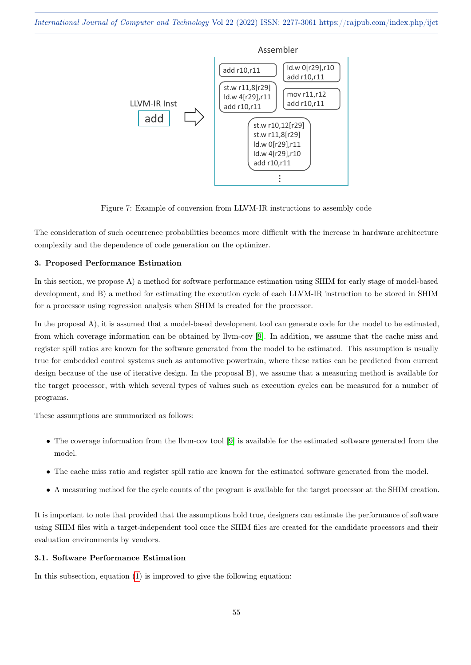

<span id="page-5-0"></span>Figure 7: Example of conversion from LLVM-IR instructions to assembly code

The consideration of such occurrence probabilities becomes more difficult with the increase in hardware architecture complexity and the dependence of code generation on the optimizer.

#### 3. Proposed Performance Estimation

In this section, we propose A) a method for software performance estimation using SHIM for early stage of model-based development, and B) a method for estimating the execution cycle of each LLVM-IR instruction to be stored in SHIM for a processor using regression analysis when SHIM is created for the processor.

In the proposal A), it is assumed that a model-based development tool can generate code for the model to be estimated, from which coverage information can be obtained by llvm-cov [\[9\]](#page-11-8). In addition, we assume that the cache miss and register spill ratios are known for the software generated from the model to be estimated. This assumption is usually true for embedded control systems such as automotive powertrain, where these ratios can be predicted from current design because of the use of iterative design. In the proposal B), we assume that a measuring method is available for the target processor, with which several types of values such as execution cycles can be measured for a number of programs.

These assumptions are summarized as follows:

- The coverage information from the llvm-cov tool [\[9\]](#page-11-8) is available for the estimated software generated from the model.
- The cache miss ratio and register spill ratio are known for the estimated software generated from the model.
- A measuring method for the cycle counts of the program is available for the target processor at the SHIM creation.

It is important to note that provided that the assumptions hold true, designers can estimate the performance of software using SHIM files with a target-independent tool once the SHIM files are created for the candidate processors and their evaluation environments by vendors.

# 3.1. Software Performance Estimation

In this subsection, equation [\(1\)](#page-3-0) is improved to give the following equation: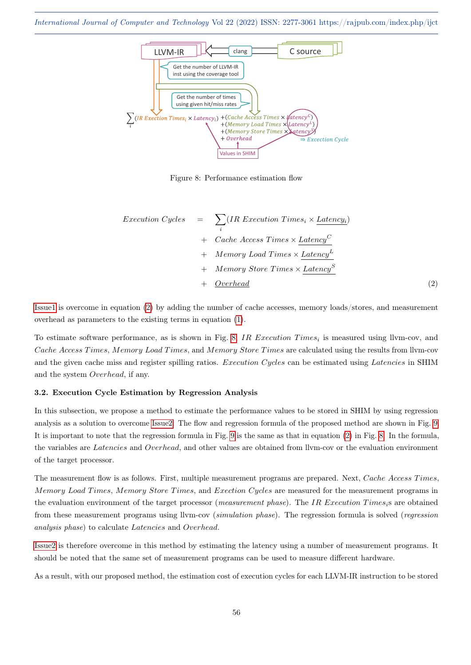

<span id="page-6-1"></span>Figure 8: Performance estimation flow

<span id="page-6-0"></span>
$$
Execution Cycles = \sum_{i} (IR Execution Times_{i} \times Latency_{i}) + Cache Access Times \times Latency^{C}
$$
  
+ Memory Load Times \times Latency^{L}  
+ Memory Store Times \times Latency^{S}  
+ Overhead (2)

[Issue1](#page-4-2) is overcome in equation [\(2\)](#page-6-0) by adding the number of cache accesses, memory loads/stores, and measurement overhead as parameters to the existing terms in equation [\(1\)](#page-3-0).

To estimate software performance, as is shown in Fig. [8,](#page-6-1) IR Execution Times<sub>i</sub> is measured using llvm-cov, and Cache Access Times, Memory Load Times, and Memory Store Times are calculated using the results from Ilvm-cov and the given cache miss and register spilling ratios. Execution Cycles can be estimated using Latencies in SHIM and the system Overhead, if any.

## 3.2. Execution Cycle Estimation by Regression Analysis

In this subsection, we propose a method to estimate the performance values to be stored in SHIM by using regression analysis as a solution to overcome [Issue2.](#page-4-3) The flow and regression formula of the proposed method are shown in Fig. [9.](#page-7-0) It is important to note that the regression formula in Fig. [9](#page-7-0) is the same as that in equation [\(2\)](#page-6-0) in Fig. [8.](#page-6-1) In the formula, the variables are Latencies and Overhead, and other values are obtained from llvm-cov or the evaluation environment of the target processor.

The measurement flow is as follows. First, multiple measurement programs are prepared. Next, Cache Access Times, Memory Load Times, Memory Store Times, and Exection Cycles are measured for the measurement programs in the evaluation environment of the target processor (measurement phase). The IR Execution Times<sub>i</sub>s are obtained from these measurement programs using llvm-cov (simulation phase). The regression formula is solved (regression analysis phase) to calculate Latencies and Overhead.

[Issue2](#page-4-3) is therefore overcome in this method by estimating the latency using a number of measurement programs. It should be noted that the same set of measurement programs can be used to measure different hardware.

As a result, with our proposed method, the estimation cost of execution cycles for each LLVM-IR instruction to be stored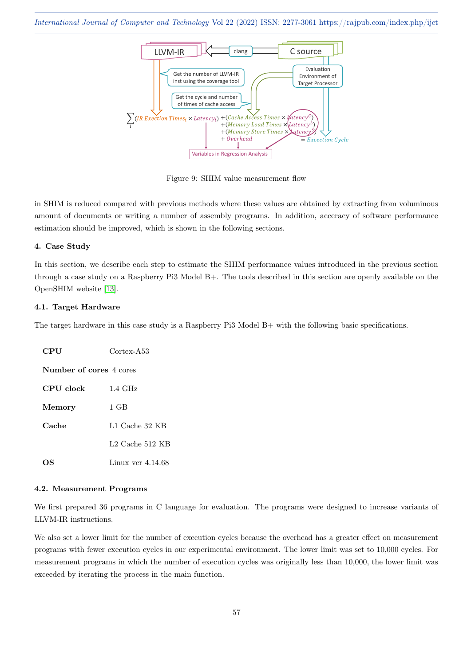

<span id="page-7-0"></span>Figure 9: SHIM value measurement flow

in SHIM is reduced compared with previous methods where these values are obtained by extracting from voluminous amount of documents or writing a number of assembly programs. In addition, acceracy of software performance estimation should be improved, which is shown in the following sections.

## 4. Case Study

In this section, we describe each step to estimate the SHIM performance values introduced in the previous section through a case study on a Raspberry Pi3 Model B+. The tools described in this section are openly available on the OpenSHIM website [\[13\]](#page-12-4).

## 4.1. Target Hardware

The target hardware in this case study is a Raspberry Pi3 Model B+ with the following basic specifications.

| <b>CPU</b>              | Cortex-A53          |
|-------------------------|---------------------|
| Number of cores 4 cores |                     |
| CPU clock               | $1.4~\mathrm{GHz}$  |
| Memory                  | 1 GB                |
| Cache                   | L1 Cache 32 KB      |
|                         | L2 Cache $512$ KB   |
| OS                      | Linux ver $4.14.68$ |

## 4.2. Measurement Programs

We first prepared 36 programs in C language for evaluation. The programs were designed to increase variants of LLVM-IR instructions.

We also set a lower limit for the number of execution cycles because the overhead has a greater effect on measurement programs with fewer execution cycles in our experimental environment. The lower limit was set to 10,000 cycles. For measurement programs in which the number of execution cycles was originally less than 10,000, the lower limit was exceeded by iterating the process in the main function.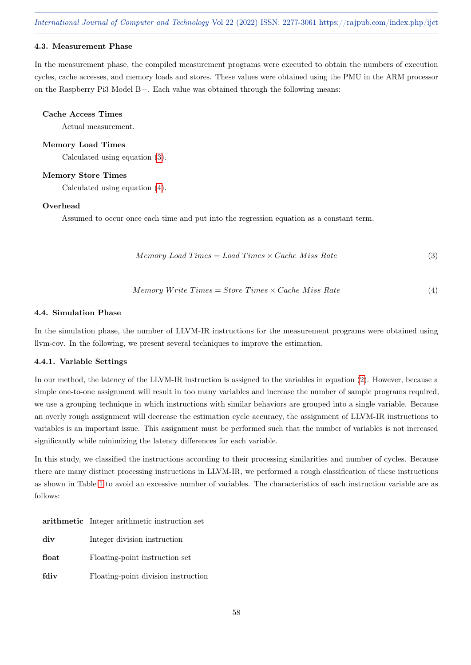## 4.3. Measurement Phase

In the measurement phase, the compiled measurement programs were executed to obtain the numbers of execution cycles, cache accesses, and memory loads and stores. These values were obtained using the PMU in the ARM processor on the Raspberry Pi3 Model B+. Each value was obtained through the following means:

#### Cache Access Times

Actual measurement.

#### Memory Load Times

Calculated using equation [\(3\)](#page-8-0).

## Memory Store Times

Calculated using equation [\(4\)](#page-8-1).

#### Overhead

Assumed to occur once each time and put into the regression equation as a constant term.

<span id="page-8-0"></span>
$$
Memory\ Load\ Times = Load\ Times \times Cache\ Miss\ Rate
$$
\n
$$
(3)
$$

<span id="page-8-1"></span>
$$
Memory Write Times = Store Times \times Cache \; Miss \; Rate \tag{4}
$$

#### 4.4. Simulation Phase

In the simulation phase, the number of LLVM-IR instructions for the measurement programs were obtained using llvm-cov. In the following, we present several techniques to improve the estimation.

## 4.4.1. Variable Settings

In our method, the latency of the LLVM-IR instruction is assigned to the variables in equation [\(2\)](#page-6-0). However, because a simple one-to-one assignment will result in too many variables and increase the number of sample programs required, we use a grouping technique in which instructions with similar behaviors are grouped into a single variable. Because an overly rough assignment will decrease the estimation cycle accuracy, the assignment of LLVM-IR instructions to variables is an important issue. This assignment must be performed such that the number of variables is not increased significantly while minimizing the latency differences for each variable.

In this study, we classified the instructions according to their processing similarities and number of cycles. Because there are many distinct processing instructions in LLVM-IR, we performed a rough classification of these instructions as shown in Table [1](#page-9-0) to avoid an excessive number of variables. The characteristics of each instruction variable are as follows:

| arithmetic Integer arithmetic instruction set |
|-----------------------------------------------|
|                                               |

| div   | Integer division instruction        |
|-------|-------------------------------------|
| float | Floating-point instruction set      |
| fdiv  | Floating-point division instruction |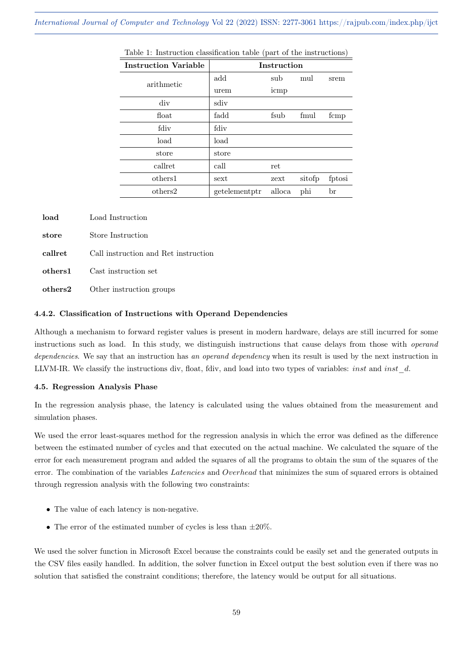| <b>Instruction Variable</b> |               | <b>Instruction</b> |        |        |
|-----------------------------|---------------|--------------------|--------|--------|
| arithmetic                  | add           | sub                | mul    | srem   |
|                             | urem          | icmp               |        |        |
| div                         | sdiv          |                    |        |        |
| float                       | fadd          | fsub               | fmul   | fcmp   |
| fdiv                        | fdiv          |                    |        |        |
| load                        | load          |                    |        |        |
| store                       | store         |                    |        |        |
| callret                     | call          | ret                |        |        |
| others1                     | sext          | zext               | sitofp | fptosi |
| others2                     | getelementptr | alloca             | phi    | br     |

<span id="page-9-0"></span>

| Table 1: Instruction classification table (part of the instructions) |  |
|----------------------------------------------------------------------|--|
|----------------------------------------------------------------------|--|

| load    | Load Instruction                     |
|---------|--------------------------------------|
| store   | Store Instruction                    |
| callret | Call instruction and Ret instruction |
| others1 | Cast instruction set                 |
| others2 | Other instruction groups             |

## 4.4.2. Classification of Instructions with Operand Dependencies

Although a mechanism to forward register values is present in modern hardware, delays are still incurred for some instructions such as load. In this study, we distinguish instructions that cause delays from those with operand dependencies. We say that an instruction has an operand dependency when its result is used by the next instruction in LLVM-IR. We classify the instructions div, float, fdiv, and load into two types of variables: *inst* and *inst\_d.* 

#### 4.5. Regression Analysis Phase

In the regression analysis phase, the latency is calculated using the values obtained from the measurement and simulation phases.

We used the error least-squares method for the regression analysis in which the error was defined as the difference between the estimated number of cycles and that executed on the actual machine. We calculated the square of the error for each measurement program and added the squares of all the programs to obtain the sum of the squares of the error. The combination of the variables *Latencies* and *Overhead* that minimizes the sum of squared errors is obtained through regression analysis with the following two constraints:

- The value of each latency is non-negative.
- The error of the estimated number of cycles is less than  $\pm 20\%$ .

We used the solver function in Microsoft Excel because the constraints could be easily set and the generated outputs in the CSV files easily handled. In addition, the solver function in Excel output the best solution even if there was no solution that satisfied the constraint conditions; therefore, the latency would be output for all situations.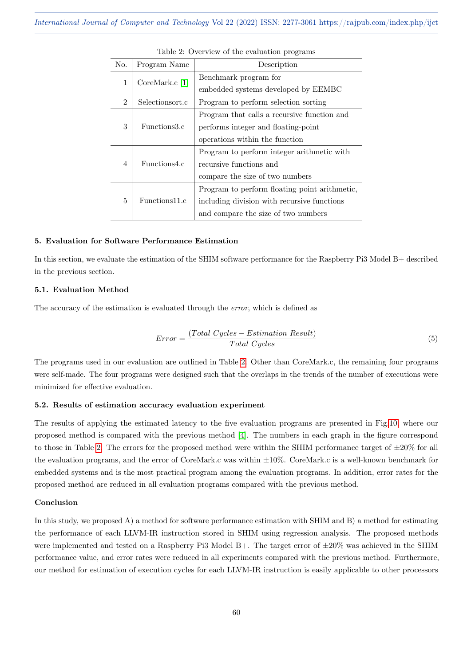| No.            | Program Name      | Description                                   |
|----------------|-------------------|-----------------------------------------------|
| 1              | CoreMark. $c$ [1] | Benchmark program for                         |
|                |                   | embedded systems developed by EEMBC           |
| $\overline{2}$ | Selectionsort.c   | Program to perform selection sorting          |
|                |                   | Program that calls a recursive function and   |
| 3              | Functions3.c      | performs integer and floating-point           |
|                |                   | operations within the function                |
|                |                   | Program to perform integer arithmetic with    |
| 4              | Functions4.c      | recursive functions and                       |
|                |                   | compare the size of two numbers               |
|                |                   | Program to perform floating point arithmetic, |
| 5              | Functions11.c     | including division with recursive functions   |
|                |                   | and compare the size of two numbers           |

<span id="page-10-0"></span>

| Table 2: Overview of the evaluation programs |
|----------------------------------------------|
|----------------------------------------------|

## 5. Evaluation for Software Performance Estimation

In this section, we evaluate the estimation of the SHIM software performance for the Raspberry Pi3 Model B+ described in the previous section.

## 5.1. Evaluation Method

The accuracy of the estimation is evaluated through the error, which is defined as

$$
Error = \frac{(Total\ Cycles - Estimation\ Result)}{Total\ Cycles}
$$
\n(5)

The programs used in our evaluation are outlined in Table [2.](#page-10-0) Other than CoreMark.c, the remaining four programs were self-made. The four programs were designed such that the overlaps in the trends of the number of executions were minimized for effective evaluation.

## 5.2. Results of estimation accuracy evaluation experiment

The results of applying the estimated latency to the five evaluation programs are presented in Fig[.10,](#page-11-10) where our proposed method is compared with the previous method [\[4\]](#page-11-7). The numbers in each graph in the figure correspond to those in Table [2.](#page-10-0) The errors for the proposed method were within the SHIM performance target of ±20% for all the evaluation programs, and the error of CoreMark.c was within ±10%. CoreMark.c is a well-known benchmark for embedded systems and is the most practical program among the evaluation programs. In addition, error rates for the proposed method are reduced in all evaluation programs compared with the previous method.

#### Conclusion

In this study, we proposed A) a method for software performance estimation with SHIM and B) a method for estimating the performance of each LLVM-IR instruction stored in SHIM using regression analysis. The proposed methods were implemented and tested on a Raspberry Pi3 Model B+. The target error of  $\pm 20\%$  was achieved in the SHIM performance value, and error rates were reduced in all experiments compared with the previous method. Furthermore, our method for estimation of execution cycles for each LLVM-IR instruction is easily applicable to other processors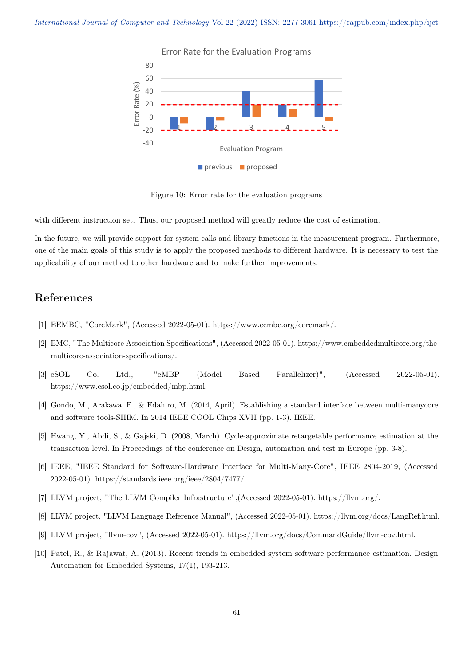

<span id="page-11-10"></span>Figure 10: Error rate for the evaluation programs

with different instruction set. Thus, our proposed method will greatly reduce the cost of estimation.

In the future, we will provide support for system calls and library functions in the measurement program. Furthermore, one of the main goals of this study is to apply the proposed methods to different hardware. It is necessary to test the applicability of our method to other hardware and to make further improvements.

# References

- <span id="page-11-9"></span>[1] EEMBC, "CoreMark", (Accessed 2022-05-01). https://www.eembc.org/coremark/.
- <span id="page-11-4"></span>[2] EMC, "The Multicore Association Specifications", (Accessed 2022-05-01). https://www.embeddedmulticore.org/themulticore-association-specifications/.
- <span id="page-11-0"></span>[3] eSOL Co. Ltd., "eMBP (Model Based Parallelizer)", (Accessed 2022-05-01). https://www.esol.co.jp/embedded/mbp.html.
- <span id="page-11-7"></span>[4] Gondo, M., Arakawa, F., & Edahiro, M. (2014, April). Establishing a standard interface between multi-manycore and software tools-SHIM. In 2014 IEEE COOL Chips XVII (pp. 1-3). IEEE.
- <span id="page-11-5"></span>[5] Hwang, Y., Abdi, S., & Gajski, D. (2008, March). Cycle-approximate retargetable performance estimation at the transaction level. In Proceedings of the conference on Design, automation and test in Europe (pp. 3-8).
- <span id="page-11-1"></span>[6] IEEE, "IEEE Standard for Software-Hardware Interface for Multi-Many-Core", IEEE 2804-2019, (Accessed 2022-05-01). https://standards.ieee.org/ieee/2804/7477/.
- <span id="page-11-3"></span>[7] LLVM project, "The LLVM Compiler Infrastructure",(Accessed 2022-05-01). https://llvm.org/.
- <span id="page-11-2"></span>[8] LLVM project, "LLVM Language Reference Manual", (Accessed 2022-05-01). https://llvm.org/docs/LangRef.html.
- <span id="page-11-8"></span>[9] LLVM project, "llvm-cov", (Accessed 2022-05-01). https://llvm.org/docs/CommandGuide/llvm-cov.html.
- <span id="page-11-6"></span>[10] Patel, R., & Rajawat, A. (2013). Recent trends in embedded system software performance estimation. Design Automation for Embedded Systems, 17(1), 193-213.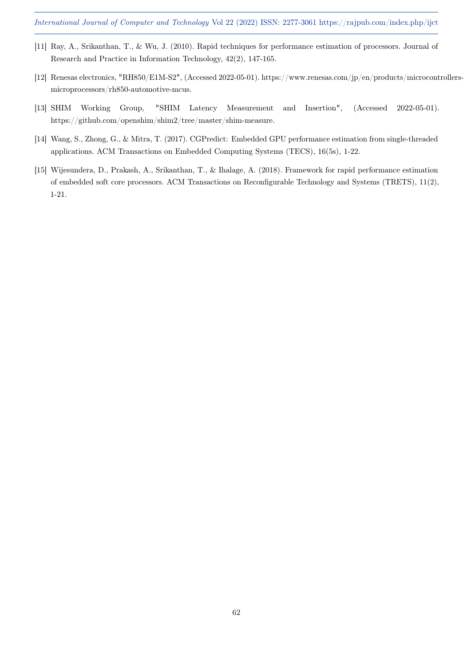- <span id="page-12-1"></span>[11] Ray, A., Srikanthan, T., & Wu, J. (2010). Rapid techniques for performance estimation of processors. Journal of Research and Practice in Information Technology, 42(2), 147-165.
- <span id="page-12-3"></span>[12] Renesas electronics, "RH850/E1M-S2", (Accessed 2022-05-01). https://www.renesas.com/jp/en/products/microcontrollersmicroprocessors/rh850-automotive-mcus.
- <span id="page-12-4"></span>[13] SHIM Working Group, "SHIM Latency Measurement and Insertion", (Accessed 2022-05-01). https://github.com/openshim/shim2/tree/master/shim-measure.
- <span id="page-12-0"></span>[14] Wang, S., Zhong, G., & Mitra, T. (2017). CGPredict: Embedded GPU performance estimation from single-threaded applications. ACM Transactions on Embedded Computing Systems (TECS), 16(5s), 1-22.
- <span id="page-12-2"></span>[15] Wijesundera, D., Prakash, A., Srikanthan, T., & Ihalage, A. (2018). Framework for rapid performance estimation of embedded soft core processors. ACM Transactions on Reconfigurable Technology and Systems (TRETS), 11(2), 1-21.